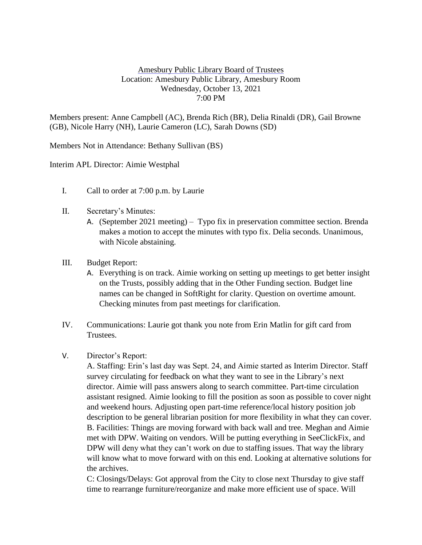## Amesbury Public Library Board of Trustees Location: Amesbury Public Library, Amesbury Room Wednesday, October 13, 2021 7:00 PM

Members present: Anne Campbell (AC), Brenda Rich (BR), Delia Rinaldi (DR), Gail Browne (GB), Nicole Harry (NH), Laurie Cameron (LC), Sarah Downs (SD)

Members Not in Attendance: Bethany Sullivan (BS)

Interim APL Director: Aimie Westphal

- I. Call to order at 7:00 p.m. by Laurie
- II. Secretary's Minutes:
	- A. (September 2021 meeting) Typo fix in preservation committee section. Brenda makes a motion to accept the minutes with typo fix. Delia seconds. Unanimous, with Nicole abstaining.
- III. Budget Report:
	- A. Everything is on track. Aimie working on setting up meetings to get better insight on the Trusts, possibly adding that in the Other Funding section. Budget line names can be changed in SoftRight for clarity. Question on overtime amount. Checking minutes from past meetings for clarification.
- IV. Communications: Laurie got thank you note from Erin Matlin for gift card from Trustees.
- V. Director's Report:

A. Staffing: Erin's last day was Sept. 24, and Aimie started as Interim Director. Staff survey circulating for feedback on what they want to see in the Library's next director. Aimie will pass answers along to search committee. Part-time circulation assistant resigned. Aimie looking to fill the position as soon as possible to cover night and weekend hours. Adjusting open part-time reference/local history position job description to be general librarian position for more flexibility in what they can cover. B. Facilities: Things are moving forward with back wall and tree. Meghan and Aimie met with DPW. Waiting on vendors. Will be putting everything in SeeClickFix, and DPW will deny what they can't work on due to staffing issues. That way the library will know what to move forward with on this end. Looking at alternative solutions for the archives.

C: Closings/Delays: Got approval from the City to close next Thursday to give staff time to rearrange furniture/reorganize and make more efficient use of space. Will